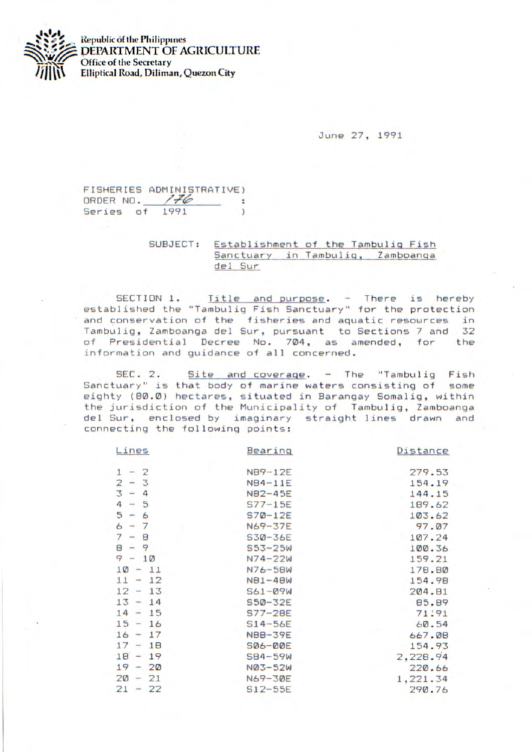

**Republic of the Philippines** DEPARTMENT OF *AGRICULTURE*  **Office of the Secretary** *1fljt* **Elliptical Road, Diliman, Quezon City** 

June 27, 1991

FISHERIES ADMINISTRATIVE) ORDER NO.  $/76$ ٠ Series of 1991  $\lambda$ 

> SUBJECT: Establishment of the Tambulig Fish Sanctuary in Tambulig, Zamboanga del Sur

SECTION 1. Title and purpose. - There is hereby established the "Tambulig Fish Sanctuary" for the protection and conservation of the fisheries and aquatic resources in Tambulig, Zamboanga del Sur, pursuant to Sections 7 and 32 of Presidential Decree No. 704, as amended, for the information and guidance of all concerned.

SEC. 2. Site and coverage. - The "Tambulig Fish Sanctuary" is that body of marine waters consisting of some eighty (80.0) hectares, situated in Barangay Somalig, within the jurisdiction of the Municipality of Tambulig, Zamboanga del Sur, enclosed by imaginary straight lines drawn and connecting the following points:

| Lines     | Bearing        | Distance |
|-----------|----------------|----------|
| $1 - 2$   | NB9-12E        | 279.53   |
| $2 - 3$   | NB4-11E        | 154.19   |
| $3 - 4$   | N82-45E        | 144.15   |
| $4 - 5$   | $S77 - 15E$    | 189.62   |
| $5 - 6$   | $S7Ø-12E$      | 103.62   |
| $6 - 7$   | N69-37E        | 97.07    |
| $7 - 8$   | S30-36E        | 107.24   |
| $8 - 9$   | $S53 - 25W$    | 100.36   |
| $9 - 10$  | $N74 - 22W$    | 159.21   |
| $10 - 11$ | N76-58W        | 178.80   |
| $11 - 12$ | <b>NB1-48W</b> | 154.98   |
| $12 - 13$ | $561 - 09W$    | 204.81   |
| $13 - 14$ | S50-32E        | 85.89    |
| $14 - 15$ | $S77 - 28E$    | 71.91    |
| $15 - 16$ | $S14-56E$      | 60.54    |
| $16 - 17$ | NBB-39E        | 667.08   |
| $17 - 18$ | <b>SØ6-ØØE</b> | 154.93   |
| $18 - 19$ | $SB4-59W$      | 2,228.94 |
| $19 - 20$ | NØ3-52W        | 220.66   |
| $20 - 21$ | N69-30E        | 1,221.34 |
| $21 - 22$ | $S12-55E$      | 290.76   |
|           |                |          |